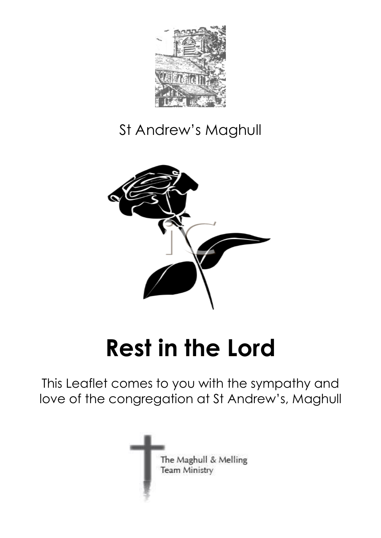

## St Andrew's Maghull



# **Rest in the Lord**

This Leaflet comes to you with the sympathy and love of the congregation at St Andrew's, Maghull

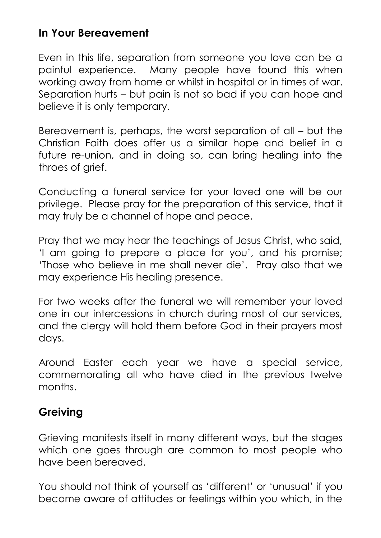#### **In Your Bereavement**

Even in this life, separation from someone you love can be a painful experience. Many people have found this when working away from home or whilst in hospital or in times of war. Separation hurts – but pain is not so bad if you can hope and believe it is only temporary.

Bereavement is, perhaps, the worst separation of all – but the Christian Faith does offer us a similar hope and belief in a future re-union, and in doing so, can bring healing into the throes of grief.

Conducting a funeral service for your loved one will be our privilege. Please pray for the preparation of this service, that it may truly be a channel of hope and peace.

Pray that we may hear the teachings of Jesus Christ, who said, 'I am going to prepare a place for you', and his promise; 'Those who believe in me shall never die'. Pray also that we may experience His healing presence.

For two weeks after the funeral we will remember your loved one in our intercessions in church during most of our services, and the clergy will hold them before God in their prayers most days.

Around Easter each year we have a special service, commemorating all who have died in the previous twelve months.

#### **Greiving**

Grieving manifests itself in many different ways, but the stages which one goes through are common to most people who have been bereaved.

You should not think of yourself as 'different' or 'unusual' if you become aware of attitudes or feelings within you which, in the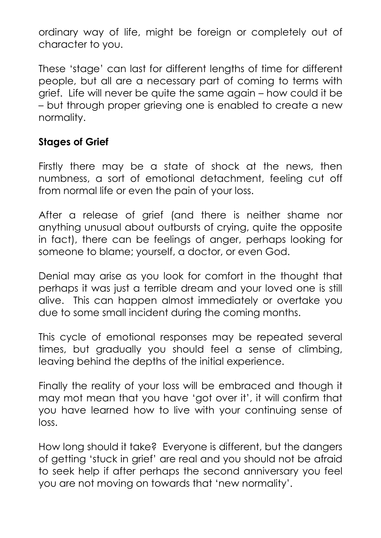ordinary way of life, might be foreign or completely out of character to you.

These 'stage' can last for different lengths of time for different people, but all are a necessary part of coming to terms with grief. Life will never be quite the same again – how could it be – but through proper grieving one is enabled to create a new normality.

#### **Stages of Grief**

Firstly there may be a state of shock at the news, then numbness, a sort of emotional detachment, feeling cut off from normal life or even the pain of your loss.

After a release of grief (and there is neither shame nor anything unusual about outbursts of crying, quite the opposite in fact), there can be feelings of anger, perhaps looking for someone to blame; yourself, a doctor, or even God.

Denial may arise as you look for comfort in the thought that perhaps it was just a terrible dream and your loved one is still alive. This can happen almost immediately or overtake you due to some small incident during the coming months.

This cycle of emotional responses may be repeated several times, but gradually you should feel a sense of climbing, leaving behind the depths of the initial experience.

Finally the reality of your loss will be embraced and though it may mot mean that you have 'got over it', it will confirm that you have learned how to live with your continuing sense of loss.

How long should it take? Everyone is different, but the dangers of getting 'stuck in grief' are real and you should not be afraid to seek help if after perhaps the second anniversary you feel you are not moving on towards that 'new normality'.